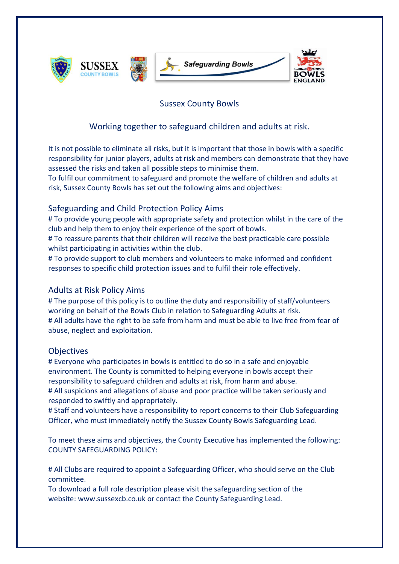

## Sussex County Bowls

# Working together to safeguard children and adults at risk.

It is not possible to eliminate all risks, but it is important that those in bowls with a specific responsibility for junior players, adults at risk and members can demonstrate that they have assessed the risks and taken all possible steps to minimise them.

To fulfil our commitment to safeguard and promote the welfare of children and adults at risk, Sussex County Bowls has set out the following aims and objectives:

## Safeguarding and Child Protection Policy Aims

# To provide young people with appropriate safety and protection whilst in the care of the club and help them to enjoy their experience of the sport of bowls.

# To reassure parents that their children will receive the best practicable care possible whilst participating in activities within the club.

# To provide support to club members and volunteers to make informed and confident responses to specific child protection issues and to fulfil their role effectively.

### Adults at Risk Policy Aims

# The purpose of this policy is to outline the duty and responsibility of staff/volunteers working on behalf of the Bowls Club in relation to Safeguarding Adults at risk. # All adults have the right to be safe from harm and must be able to live free from fear of abuse, neglect and exploitation.

### **Objectives**

# Everyone who participates in bowls is entitled to do so in a safe and enjoyable environment. The County is committed to helping everyone in bowls accept their responsibility to safeguard children and adults at risk, from harm and abuse. # All suspicions and allegations of abuse and poor practice will be taken seriously and responded to swiftly and appropriately.

# Staff and volunteers have a responsibility to report concerns to their Club Safeguarding Officer, who must immediately notify the Sussex County Bowls Safeguarding Lead.

To meet these aims and objectives, the County Executive has implemented the following: COUNTY SAFEGUARDING POLICY:

# All Clubs are required to appoint a Safeguarding Officer, who should serve on the Club committee.

To download a full role description please visit the safeguarding section of the website: www.sussexcb.co.uk or contact the County Safeguarding Lead.